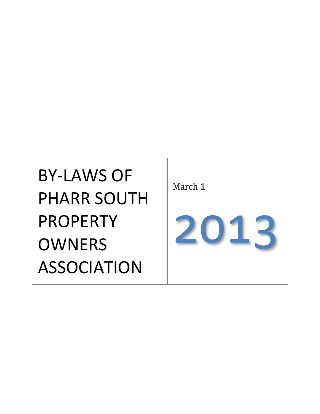# BY-LAWS OF PHARR SOUTH PROPERTY **OWNERS** ASSOCIATION

March 1

2013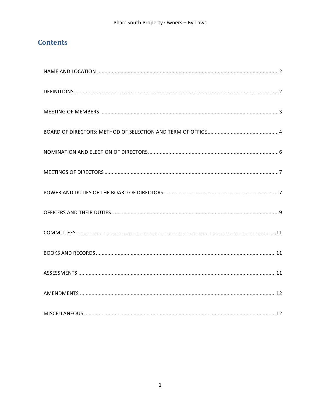# **Contents**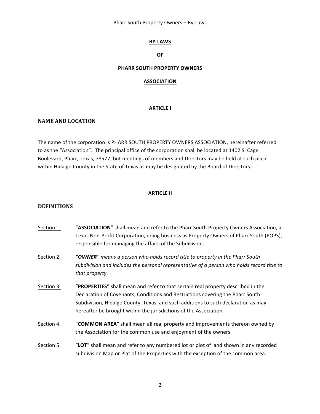Pharr South Property Owners - By-Laws

#### **BY-LAWS**

# **OF**

#### **PHARR SOUTH PROPERTY OWNERS**

#### **ASSOCIATION**

#### **ARTICLE I**

#### **NAME AND LOCATION**

The name of the corporation is PHARR SOUTH PROPERTY OWNERS ASSOCIATION, hereinafter referred to as the "Association". The principal office of the corporation shall be located at 1402 S. Cage Boulevard, Pharr, Texas, 78577, but meetings of members and Directors may be held at such place within Hidalgo County in the State of Texas as may be designated by the Board of Directors.

#### **ARTICLE II**

#### **DEFINITIONS**

- Section 1. "ASSOCIATION" shall mean and refer to the Pharr South Property Owners Association, a Texas Non-Profit Corporation, doing business as Property Owners of Pharr South (POPS), responsible for managing the affairs of the Subdivision.
- Section 2. **"OWNER**" means a person who holds record title to property in the Pharr South subdivision and includes the personal representative of a person who holds record title to that property.
- Section 3. "**PROPERTIES**" shall mean and refer to that certain real property described in the Declaration of Covenants, Conditions and Restrictions covering the Pharr South Subdivision, Hidalgo County, Texas, and such additions to such declaration as may hereafter be brought within the jurisdictions of the Association.
- Section 4. "**COMMON AREA**" shall mean all real property and improvements thereon owned by the Association for the common use and enjoyment of the owners.
- Section 5. "LOT" shall mean and refer to any numbered lot or plot of land shown in any recorded subdivision Map or Plat of the Properties with the exception of the common area.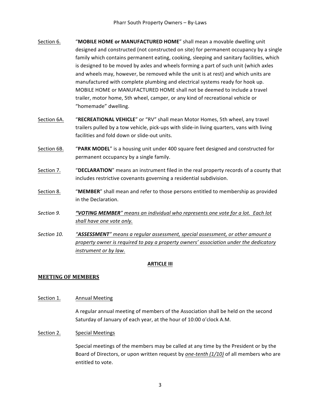- Section 6. "MOBILE HOME or MANUFACTURED HOME" shall mean a movable dwelling unit designed and constructed (not constructed on site) for permanent occupancy by a single family which contains permanent eating, cooking, sleeping and sanitary facilities, which is designed to be moved by axles and wheels forming a part of such unit (which axles and wheels may, however, be removed while the unit is at rest) and which units are manufactured with complete plumbing and electrical systems ready for hook up. MOBILE HOME or MANUFACTURED HOME shall not be deemed to include a travel trailer, motor home, 5th wheel, camper, or any kind of recreational vehicle or "homemade" dwelling.
- Section 6A. **"RECREATIONAL VEHICLE**" or "RV" shall mean Motor Homes, 5th wheel, any travel trailers pulled by a tow vehicle, pick-ups with slide-in living quarters, vans with living facilities and fold down or slide-out units.
- Section 6B. "PARK MODEL" is a housing unit under 400 square feet designed and constructed for permanent occupancy by a single family.
- Section 7. "DECLARATION" means an instrument filed in the real property records of a county that includes restrictive covenants governing a residential subdivision.
- Section 8. "**MEMBER**" shall mean and refer to those persons entitled to membership as provided in the Declaration.
- Section 9. **"VOTING MEMBER**" means an individual who represents one vote for a lot. Each lot *shall have one vote only.*
- Section 10. *"ASSESSMENT*" means a regular assessment, special assessment, or other amount a property owner is required to pay a property owners' association under the dedicatory *instrument* or by law.

# **ARTICLE III**

# **MEETING OF MEMBERS**

Section 1. Annual Meeting

A regular annual meeting of members of the Association shall be held on the second Saturday of January of each year, at the hour of 10:00 o'clock A.M.

Section 2. Special Meetings

Special meetings of the members may be called at any time by the President or by the Board of Directors, or upon written request by *one-tenth* (1/10) of all members who are entitled to vote.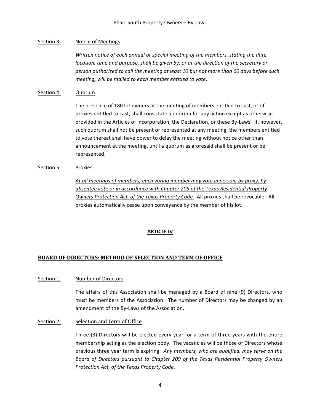# Section 3. Notice of Meetings

*Written notice of each annual or special meeting of the members, stating the date, location, time and purpose, shall be given by, or at the direction of the secretary or person authorized to call the meeting at least 10 but not more than 60 days before such meeting, will be mailed to each member entitled to vote.* 

#### Section 4. Quorum

The presence of 180 lot owners at the meeting of members entitled to cast, or of proxies entitled to cast, shall constitute a quorum for any action except as otherwise provided in the Articles of Incorporation, the Declaration, or these By-Laws. If, however, such quorum shall not be present or represented at any meeting, the members entitled to vote thereat shall have power to delay the meeting without notice other than announcement at the meeting, until a quorum as aforesaid shall be present or be represented.

#### Section 5. Proxies

At all meetings of members, each voting member may vote in person, by proxy, by *absentee vote or in accordance with Chapter 209 of the Texas Residential Property Owners Protection Act, of the Texas Property Code.* All proxies shall be revocable. All proxies automatically cease upon conveyance by the member of his lot.

# **ARTICLE IV**

# **BOARD OF DIRECTORS: METHOD OF SELECTION AND TERM OF OFFICE**

#### Section 1. Number of Directors

The affairs of this Association shall be managed by a Board of nine (9) Directors, who must be members of the Association. The number of Directors may be changed by an amendment of the By-Laws of the Association.

# Section 2. Selection and Term of Office

Three (3) Directors will be elected every year for a term of three years with the entire membership acting as the election body. The vacancies will be those of Directors whose previous three year term is expiring. Any members, who are qualified, may serve on the Board of Directors pursuant to Chapter 209 of the Texas Residential Property Owners *Protection Act, of the Texas Property Code.*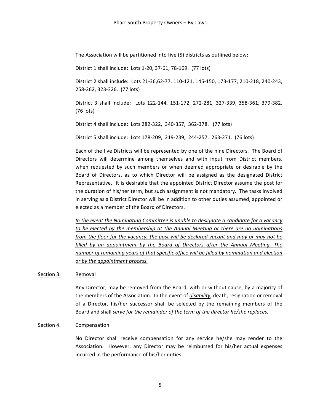The Association will be partitioned into five (5) districts as outlined below:

District 1 shall include: Lots 1-20, 37-61, 78-109. (77 lots)

District 2 shall include: Lots 21-36,62-77, 110-121, 145-150, 173-177, 210-218, 240-243, 258-262, 323-326. (77 lots)

District 3 shall include: Lots 122-144, 151-172, 272-281, 327-339, 358-361, 379-382. (76 lots)

District 4 shall include: Lots 282-322, 340-357, 362-378. (77 lots)

District 5 shall include: Lots 178-209, 219-239, 244-257, 263-271. (76 lots)

Each of the five Districts will be represented by one of the nine Directors. The Board of Directors will determine among themselves and with input from District members, when requested by such members or when deemed appropriate or desirable by the Board of Directors, as to which Director will be assigned as the designated District Representative. It is desirable that the appointed District Director assume the post for the duration of his/her term, but such assignment is not mandatory. The tasks involved in serving as a District Director will be in addition to other duties assumed, appointed or elected as a member of the Board of Directors.

*In* the event the Nominating Committee is unable to designate a candidate for a vacancy *to* be elected by the membership at the Annual Meeting or there are no nominations *from* the *floor for the vacancy, the post will be declared vacant and may or may not be* filled by an appointment by the Board of Directors after the Annual Meeting. The *number* of remaining years of that specific office will be filled by nomination and election *or by the appointment process.*

#### Section 3. Removal

Any Director, may be removed from the Board, with or without cause, by a majority of the members of the Association. In the event of *disability*, death, resignation or removal of a Director, his/her successor shall be selected by the remaining members of the Board and shall serve for the remainder of the term of the director he/she replaces.

# Section 4. Compensation

No Director shall receive compensation for any service he/she may render to the Association. However, any Director may be reimbursed for his/her actual expenses incurred in the performance of his/her duties.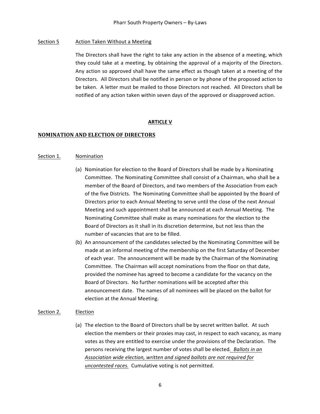# Section 5 Action Taken Without a Meeting

The Directors shall have the right to take any action in the absence of a meeting, which they could take at a meeting, by obtaining the approval of a majority of the Directors. Any action so approved shall have the same effect as though taken at a meeting of the Directors. All Directors shall be notified in person or by phone of the proposed action to be taken. A letter must be mailed to those Directors not reached. All Directors shall be notified of any action taken within seven days of the approved or disapproved action.

#### **ARTICLE V**

#### **NOMINATION AND ELECTION OF DIRECTORS**

#### Section 1. Nomination

- (a) Nomination for election to the Board of Directors shall be made by a Nominating Committee. The Nominating Committee shall consist of a Chairman, who shall be a member of the Board of Directors, and two members of the Association from each of the five Districts. The Nominating Committee shall be appointed by the Board of Directors prior to each Annual Meeting to serve until the close of the next Annual Meeting and such appointment shall be announced at each Annual Meeting. The Nominating Committee shall make as many nominations for the election to the Board of Directors as it shall in its discretion determine, but not less than the number of vacancies that are to be filled.
- (b) An announcement of the candidates selected by the Nominating Committee will be made at an informal meeting of the membership on the first Saturday of December of each year. The announcement will be made by the Chairman of the Nominating Committee. The Chairman will accept nominations from the floor on that date, provided the nominee has agreed to become a candidate for the vacancy on the Board of Directors. No further nominations will be accepted after this announcement date. The names of all nominees will be placed on the ballot for election at the Annual Meeting.

#### Section 2. Election

(a) The election to the Board of Directors shall be by secret written ballot. At such election the members or their proxies may cast, in respect to each vacancy, as many votes as they are entitled to exercise under the provisions of the Declaration. The persons receiving the largest number of votes shall be elected. Ballots in an Association wide election, written and signed ballots are not required for *uncontested races.* Cumulative voting is not permitted.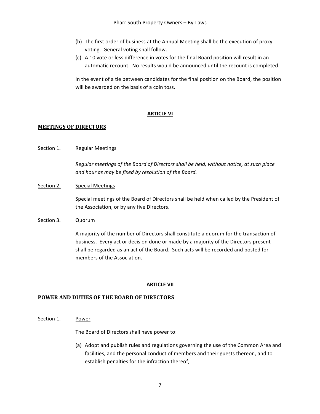- (b) The first order of business at the Annual Meeting shall be the execution of proxy voting. General voting shall follow.
- (c) A 10 vote or less difference in votes for the final Board position will result in an automatic recount. No results would be announced until the recount is completed.

In the event of a tie between candidates for the final position on the Board, the position will be awarded on the basis of a coin toss.

# **ARTICLE VI**

# **MEETINGS OF DIRECTORS**

Section 1. Regular Meetings

*Regular meetings of the Board of Directors shall be held, without notice, at such place* and hour as may be fixed by resolution of the Board.

Section 2. Special Meetings

Special meetings of the Board of Directors shall be held when called by the President of the Association, or by any five Directors.

# Section 3. Quorum

A majority of the number of Directors shall constitute a quorum for the transaction of business. Every act or decision done or made by a majority of the Directors present shall be regarded as an act of the Board. Such acts will be recorded and posted for members of the Association.

# **ARTICLE VII**

# **POWER AND DUTIES OF THE BOARD OF DIRECTORS**

Section 1. Power

The Board of Directors shall have power to:

(a) Adopt and publish rules and regulations governing the use of the Common Area and facilities, and the personal conduct of members and their guests thereon, and to establish penalties for the infraction thereof;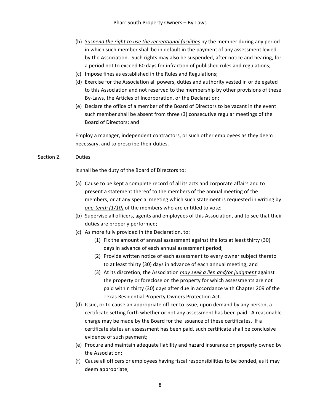- (b) *Suspend the right to use the recreational facilities* by the member during any period in which such member shall be in default in the payment of any assessment levied by the Association. Such rights may also be suspended, after notice and hearing, for a period not to exceed 60 days for infraction of published rules and regulations;
- (c) Impose fines as established in the Rules and Regulations;
- (d) Exercise for the Association all powers, duties and authority vested in or delegated to this Association and not reserved to the membership by other provisions of these By-Laws, the Articles of Incorporation, or the Declaration;
- (e) Declare the office of a member of the Board of Directors to be vacant in the event such member shall be absent from three (3) consecutive regular meetings of the Board of Directors; and

Employ a manager, independent contractors, or such other employees as they deem necessary, and to prescribe their duties.

# Section 2. Duties

It shall be the duty of the Board of Directors to:

- (a) Cause to be kept a complete record of all its acts and corporate affairs and to present a statement thereof to the members of the annual meeting of the members, or at any special meeting which such statement is requested in writing by *one-tenth* (1/10) of the members who are entitled to vote;
- (b) Supervise all officers, agents and employees of this Association, and to see that their duties are properly performed;
- (c) As more fully provided in the Declaration, to:
	- (1) Fix the amount of annual assessment against the lots at least thirty (30) days in advance of each annual assessment period;
	- (2) Provide written notice of each assessment to every owner subject thereto to at least thirty (30) days in advance of each annual meeting; and
	- (3) At its discretion, the Association *may seek a lien and/or judgment* against the property or foreclose on the property for which assessments are not paid within thirty (30) days after due in accordance with Chapter 209 of the Texas Residential Property Owners Protection Act.
- (d) Issue, or to cause an appropriate officer to issue, upon demand by any person, a certificate setting forth whether or not any assessment has been paid. A reasonable charge may be made by the Board for the issuance of these certificates. If a certificate states an assessment has been paid, such certificate shall be conclusive evidence of such payment;
- (e) Procure and maintain adequate liability and hazard insurance on property owned by the Association;
- (f) Cause all officers or employees having fiscal responsibilities to be bonded, as it may deem appropriate;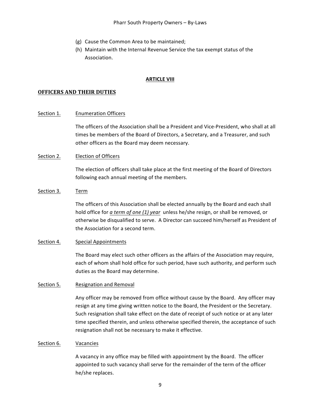- (g) Cause the Common Area to be maintained;
- (h) Maintain with the Internal Revenue Service the tax exempt status of the Association.

#### **ARTICLE VIII**

#### **OFFICERS AND THEIR DUTIES**

#### Section 1. Enumeration Officers

The officers of the Association shall be a President and Vice-President, who shall at all times be members of the Board of Directors, a Secretary, and a Treasurer, and such other officers as the Board may deem necessary.

#### Section 2. Election of Officers

The election of officers shall take place at the first meeting of the Board of Directors following each annual meeting of the members.

#### Section 3. Term

The officers of this Association shall be elected annually by the Board and each shall hold office for *a term of one (1) year* unless he/she resign, or shall be removed, or otherwise be disqualified to serve. A Director can succeed him/herself as President of the Association for a second term.

#### Section 4. Special Appointments

The Board may elect such other officers as the affairs of the Association may require, each of whom shall hold office for such period, have such authority, and perform such duties as the Board may determine.

#### Section 5. Resignation and Removal

Any officer may be removed from office without cause by the Board. Any officer may resign at any time giving written notice to the Board, the President or the Secretary. Such resignation shall take effect on the date of receipt of such notice or at any later time specified therein, and unless otherwise specified therein, the acceptance of such resignation shall not be necessary to make it effective.

#### Section 6. Vacancies

A vacancy in any office may be filled with appointment by the Board. The officer appointed to such vacancy shall serve for the remainder of the term of the officer he/she replaces.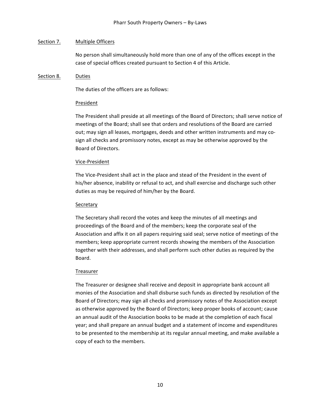#### Section 7. Multiple Officers

No person shall simultaneously hold more than one of any of the offices except in the case of special offices created pursuant to Section 4 of this Article.

#### Section 8. Duties

The duties of the officers are as follows:

#### President

The President shall preside at all meetings of the Board of Directors; shall serve notice of meetings of the Board; shall see that orders and resolutions of the Board are carried out; may sign all leases, mortgages, deeds and other written instruments and may cosign all checks and promissory notes, except as may be otherwise approved by the Board of Directors.

#### Vice-President

The Vice-President shall act in the place and stead of the President in the event of his/her absence, inability or refusal to act, and shall exercise and discharge such other duties as may be required of him/her by the Board.

#### Secretary

The Secretary shall record the votes and keep the minutes of all meetings and proceedings of the Board and of the members; keep the corporate seal of the Association and affix it on all papers requiring said seal; serve notice of meetings of the members; keep appropriate current records showing the members of the Association together with their addresses, and shall perform such other duties as required by the Board.

# Treasurer

The Treasurer or designee shall receive and deposit in appropriate bank account all monies of the Association and shall disburse such funds as directed by resolution of the Board of Directors; may sign all checks and promissory notes of the Association except as otherwise approved by the Board of Directors; keep proper books of account; cause an annual audit of the Association books to be made at the completion of each fiscal year; and shall prepare an annual budget and a statement of income and expenditures to be presented to the membership at its regular annual meeting, and make available a copy of each to the members.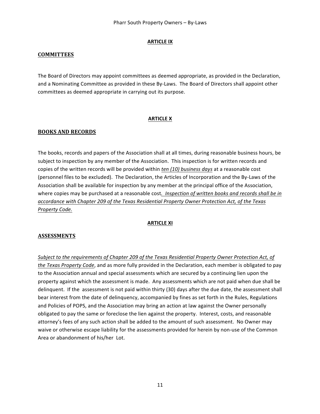# **ARTICLE IX**

# **COMMITTEES**

The Board of Directors may appoint committees as deemed appropriate, as provided in the Declaration, and a Nominating Committee as provided in these By-Laws. The Board of Directors shall appoint other committees as deemed appropriate in carrying out its purpose.

# **ARTICLE X**

# **BOOKS AND RECORDS**

The books, records and papers of the Association shall at all times, during reasonable business hours, be subject to inspection by any member of the Association. This inspection is for written records and copies of the written records will be provided within *ten* (10) business days at a reasonable cost (personnel files to be excluded). The Declaration, the Articles of Incorporation and the By-Laws of the Association shall be available for inspection by any member at the principal office of the Association, where copies may be purchased at a reasonable cost. Inspection of written books and records shall be in accordance with Chapter 209 of the Texas Residential Property Owner Protection Act, of the Texas *Property Code.*

# **ARTICLE XI**

# **ASSESSMENTS**

Subject to the requirements of Chapter 209 of the Texas Residential Property Owner Protection Act, of *the Texas Property Code*, and as more fully provided in the Declaration, each member is obligated to pay to the Association annual and special assessments which are secured by a continuing lien upon the property against which the assessment is made. Any assessments which are not paid when due shall be delinquent. If the assessment is not paid within thirty (30) days after the due date, the assessment shall bear interest from the date of delinguency, accompanied by fines as set forth in the Rules, Regulations and Policies of POPS, and the Association may bring an action at law against the Owner personally obligated to pay the same or foreclose the lien against the property. Interest, costs, and reasonable attorney's fees of any such action shall be added to the amount of such assessment. No Owner may waive or otherwise escape liability for the assessments provided for herein by non-use of the Common Area or abandonment of his/her Lot.